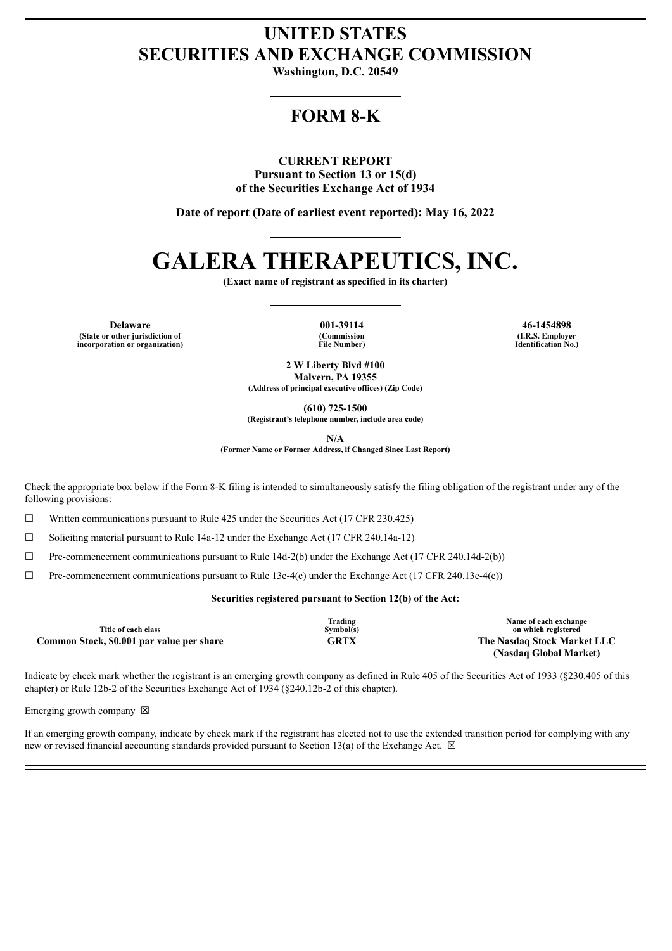# **UNITED STATES SECURITIES AND EXCHANGE COMMISSION**

**Washington, D.C. 20549**

# **FORM 8-K**

**CURRENT REPORT Pursuant to Section 13 or 15(d) of the Securities Exchange Act of 1934**

**Date of report (Date of earliest event reported): May 16, 2022**

# **GALERA THERAPEUTICS, INC.**

**(Exact name of registrant as specified in its charter)**

**Delaware 001-39114 46-1454898 (State or other jurisdiction of incorporation or organization)**

**(Commission File Number)**

**(I.R.S. Employer Identification No.)**

**2 W Liberty Blvd #100 Malvern, PA 19355 (Address of principal executive offices) (Zip Code)**

**(610) 725-1500**

**(Registrant's telephone number, include area code)**

**N/A**

**(Former Name or Former Address, if Changed Since Last Report)**

Check the appropriate box below if the Form 8-K filing is intended to simultaneously satisfy the filing obligation of the registrant under any of the following provisions:

☐ Written communications pursuant to Rule 425 under the Securities Act (17 CFR 230.425)

☐ Soliciting material pursuant to Rule 14a-12 under the Exchange Act (17 CFR 240.14a-12)

 $\Box$  Pre-commencement communications pursuant to Rule 14d-2(b) under the Exchange Act (17 CFR 240.14d-2(b))

☐ Pre-commencement communications pursuant to Rule 13e-4(c) under the Exchange Act (17 CFR 240.13e-4(c))

#### **Securities registered pursuant to Section 12(b) of the Act:**

| Title of each class                       | Trading<br>Symbol(s) | Name of each exchange<br>on which registered |
|-------------------------------------------|----------------------|----------------------------------------------|
| Common Stock, \$0.001 par value per share | <b>GRTX</b>          | The Nasdaq Stock Market LLC                  |
|                                           |                      | (Nasdaq Global Market)                       |

Indicate by check mark whether the registrant is an emerging growth company as defined in Rule 405 of the Securities Act of 1933 (§230.405 of this chapter) or Rule 12b-2 of the Securities Exchange Act of 1934 (§240.12b-2 of this chapter).

Emerging growth company  $\boxtimes$ 

If an emerging growth company, indicate by check mark if the registrant has elected not to use the extended transition period for complying with any new or revised financial accounting standards provided pursuant to Section 13(a) of the Exchange Act.  $\boxtimes$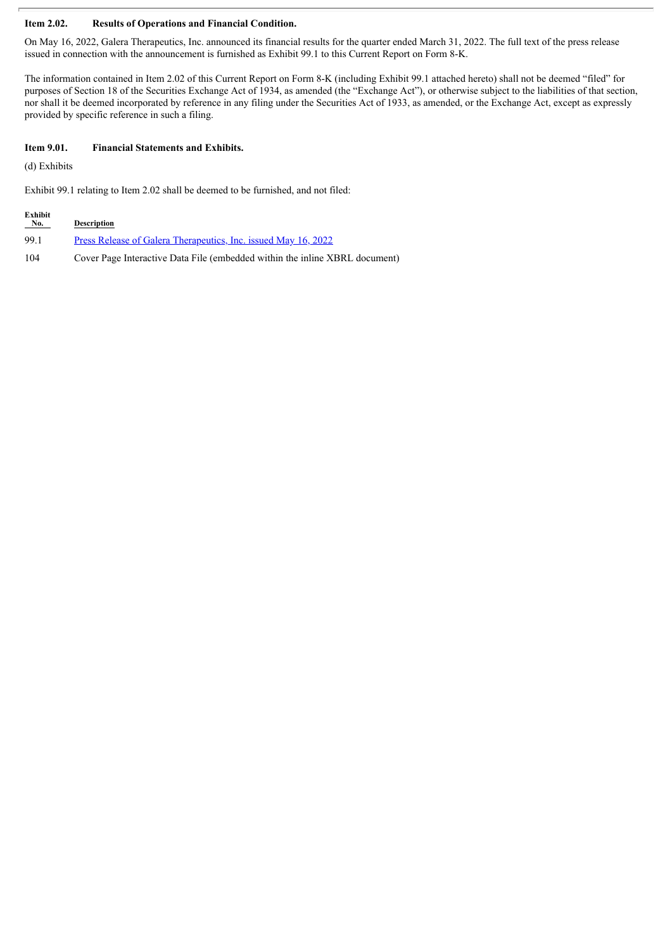## **Item 2.02. Results of Operations and Financial Condition.**

On May 16, 2022, Galera Therapeutics, Inc. announced its financial results for the quarter ended March 31, 2022. The full text of the press release issued in connection with the announcement is furnished as Exhibit 99.1 to this Current Report on Form 8-K.

The information contained in Item 2.02 of this Current Report on Form 8-K (including Exhibit 99.1 attached hereto) shall not be deemed "filed" for purposes of Section 18 of the Securities Exchange Act of 1934, as amended (the "Exchange Act"), or otherwise subject to the liabilities of that section, nor shall it be deemed incorporated by reference in any filing under the Securities Act of 1933, as amended, or the Exchange Act, except as expressly provided by specific reference in such a filing.

#### **Item 9.01. Financial Statements and Exhibits.**

(d) Exhibits

Exhibit 99.1 relating to Item 2.02 shall be deemed to be furnished, and not filed:

| Exhibit<br>$N_{0.}$ | <b>Description</b>                                                          |
|---------------------|-----------------------------------------------------------------------------|
| 991                 | Press Release of Galera Therapeutics, Inc. issued May 16, 2022              |
| 104                 | Cover Page Interactive Data File (embedded within the inline XBRL document) |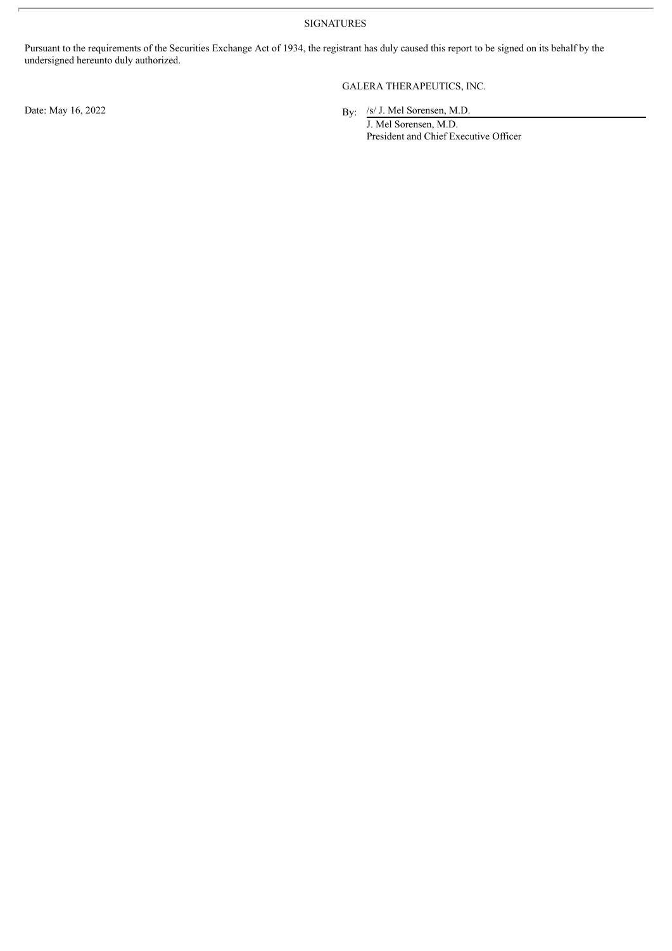SIGNATURES

Pursuant to the requirements of the Securities Exchange Act of 1934, the registrant has duly caused this report to be signed on its behalf by the undersigned hereunto duly authorized.

Date: May 16, 2022

# GALERA THERAPEUTICS, INC.

By: /s/ J. Mel Sorensen, M.D.

J. Mel Sorensen, M.D. President and Chief Executive Officer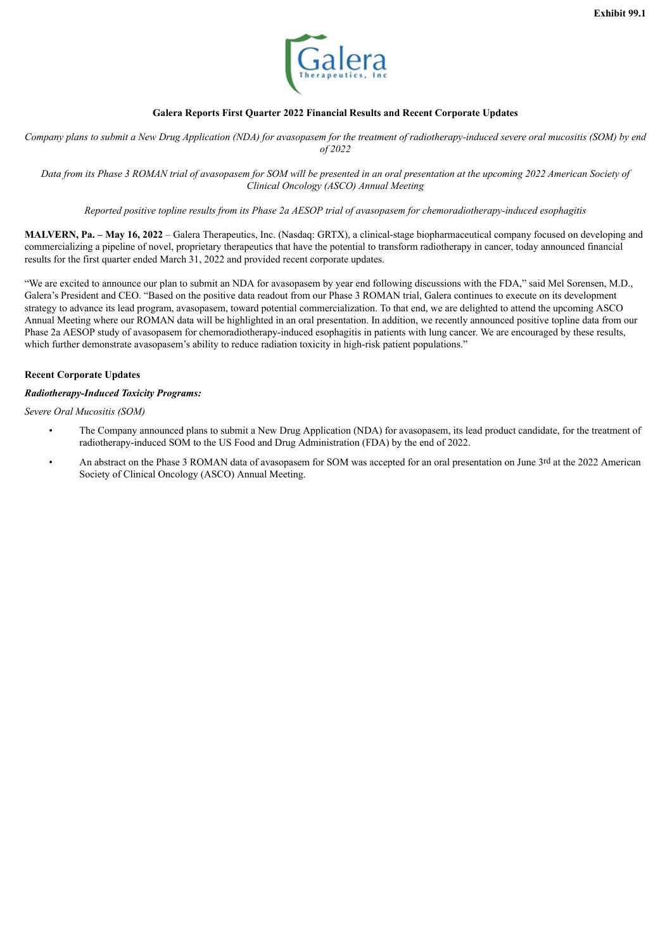

# **Galera Reports First Quarter 2022 Financial Results and Recent Corporate Updates**

<span id="page-3-0"></span>Company plans to submit a New Drug Application (NDA) for avasopasem for the treatment of radiotherapy-induced severe oral mucositis (SOM) by end *of 2022*

Data from its Phase 3 ROMAN trial of avasopasem for SOM will be presented in an oral presentation at the upcoming 2022 American Society of *Clinical Oncology (ASCO) Annual Meeting*

*Reported positive topline results from its Phase 2a AESOP trial of avasopasem for chemoradiotherapy-induced esophagitis*

**MALVERN, Pa. – May 16, 2022** – Galera Therapeutics, Inc. (Nasdaq: GRTX), a clinical-stage biopharmaceutical company focused on developing and commercializing a pipeline of novel, proprietary therapeutics that have the potential to transform radiotherapy in cancer, today announced financial results for the first quarter ended March 31, 2022 and provided recent corporate updates.

"We are excited to announce our plan to submit an NDA for avasopasem by year end following discussions with the FDA," said Mel Sorensen, M.D., Galera's President and CEO. "Based on the positive data readout from our Phase 3 ROMAN trial, Galera continues to execute on its development strategy to advance its lead program, avasopasem, toward potential commercialization. To that end, we are delighted to attend the upcoming ASCO Annual Meeting where our ROMAN data will be highlighted in an oral presentation. In addition, we recently announced positive topline data from our Phase 2a AESOP study of avasopasem for chemoradiotherapy-induced esophagitis in patients with lung cancer. We are encouraged by these results, which further demonstrate avasopasem's ability to reduce radiation toxicity in high-risk patient populations."

#### **Recent Corporate Updates**

#### *Radiotherapy-Induced Toxicity Programs:*

*Severe Oral Mucositis (SOM)*

- The Company announced plans to submit a New Drug Application (NDA) for avasopasem, its lead product candidate, for the treatment of radiotherapy-induced SOM to the US Food and Drug Administration (FDA) by the end of 2022.
- An abstract on the Phase 3 ROMAN data of avasopasem for SOM was accepted for an oral presentation on June 3rd at the 2022 American Society of Clinical Oncology (ASCO) Annual Meeting.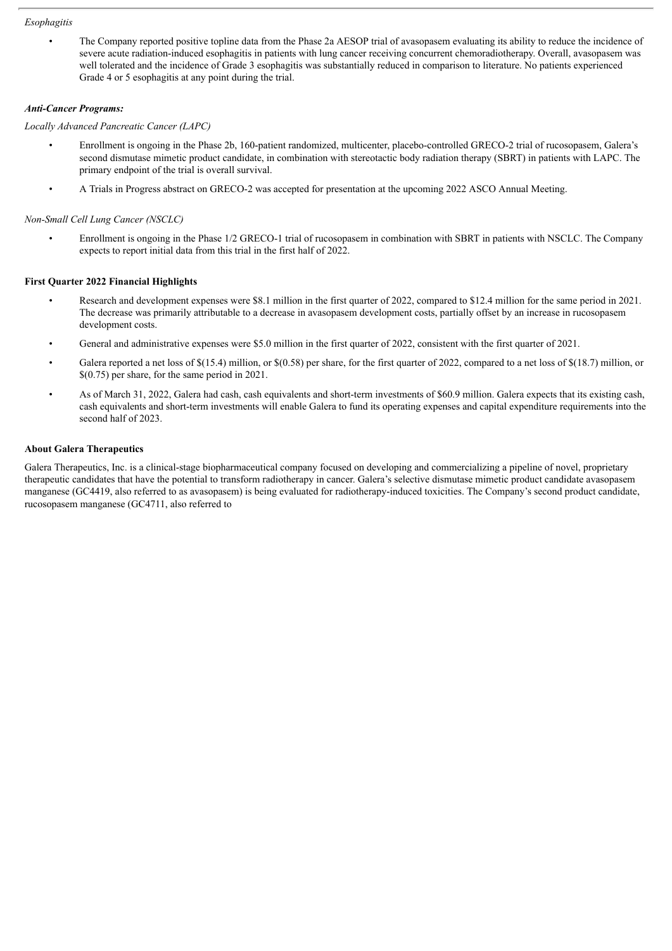#### *Esophagitis*

• The Company reported positive topline data from the Phase 2a AESOP trial of avasopasem evaluating its ability to reduce the incidence of severe acute radiation-induced esophagitis in patients with lung cancer receiving concurrent chemoradiotherapy. Overall, avasopasem was well tolerated and the incidence of Grade 3 esophagitis was substantially reduced in comparison to literature. No patients experienced Grade 4 or 5 esophagitis at any point during the trial.

## *Anti-Cancer Programs:*

*Locally Advanced Pancreatic Cancer (LAPC)*

- Enrollment is ongoing in the Phase 2b, 160-patient randomized, multicenter, placebo-controlled GRECO-2 trial of rucosopasem, Galera's second dismutase mimetic product candidate, in combination with stereotactic body radiation therapy (SBRT) in patients with LAPC. The primary endpoint of the trial is overall survival.
- A Trials in Progress abstract on GRECO-2 was accepted for presentation at the upcoming 2022 ASCO Annual Meeting.

#### *Non-Small Cell Lung Cancer (NSCLC)*

• Enrollment is ongoing in the Phase 1/2 GRECO-1 trial of rucosopasem in combination with SBRT in patients with NSCLC. The Company expects to report initial data from this trial in the first half of 2022.

#### **First Quarter 2022 Financial Highlights**

- Research and development expenses were \$8.1 million in the first quarter of 2022, compared to \$12.4 million for the same period in 2021. The decrease was primarily attributable to a decrease in avasopasem development costs, partially offset by an increase in rucosopasem development costs.
- General and administrative expenses were \$5.0 million in the first quarter of 2022, consistent with the first quarter of 2021.
- Galera reported a net loss of \$(15.4) million, or \$(0.58) per share, for the first quarter of 2022, compared to a net loss of \$(18.7) million, or \$(0.75) per share, for the same period in 2021.
- As of March 31, 2022, Galera had cash, cash equivalents and short-term investments of \$60.9 million. Galera expects that its existing cash, cash equivalents and short-term investments will enable Galera to fund its operating expenses and capital expenditure requirements into the second half of 2023.

#### **About Galera Therapeutics**

Galera Therapeutics, Inc. is a clinical-stage biopharmaceutical company focused on developing and commercializing a pipeline of novel, proprietary therapeutic candidates that have the potential to transform radiotherapy in cancer. Galera's selective dismutase mimetic product candidate avasopasem manganese (GC4419, also referred to as avasopasem) is being evaluated for radiotherapy-induced toxicities. The Company's second product candidate, rucosopasem manganese (GC4711, also referred to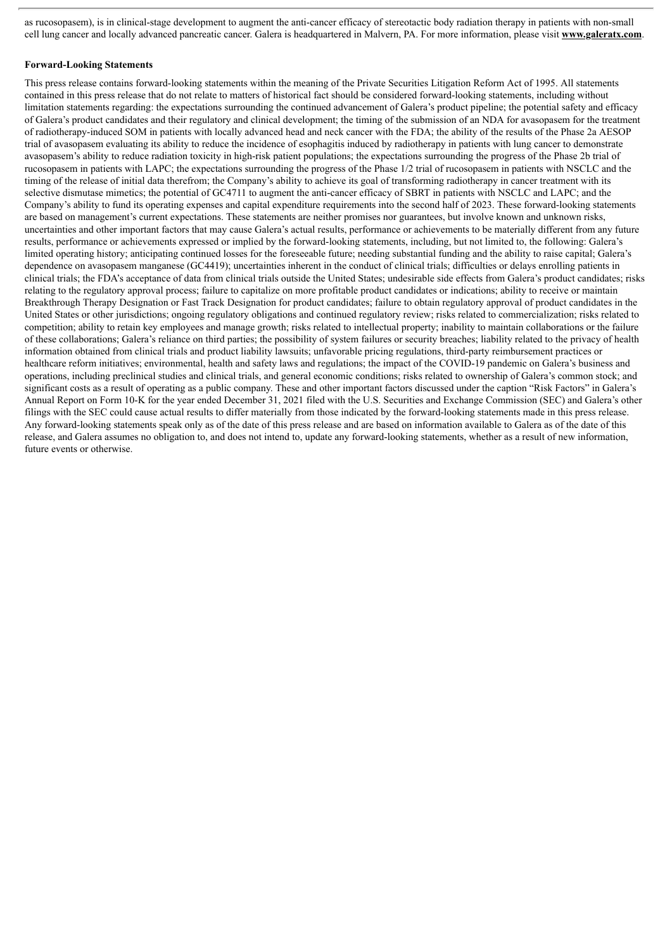as rucosopasem), is in clinical-stage development to augment the anti-cancer efficacy of stereotactic body radiation therapy in patients with non-small cell lung cancer and locally advanced pancreatic cancer. Galera is headquartered in Malvern, PA. For more information, please visit **www.galeratx.com**.

#### **Forward-Looking Statements**

This press release contains forward-looking statements within the meaning of the Private Securities Litigation Reform Act of 1995. All statements contained in this press release that do not relate to matters of historical fact should be considered forward-looking statements, including without limitation statements regarding: the expectations surrounding the continued advancement of Galera's product pipeline; the potential safety and efficacy of Galera's product candidates and their regulatory and clinical development; the timing of the submission of an NDA for avasopasem for the treatment of radiotherapy-induced SOM in patients with locally advanced head and neck cancer with the FDA; the ability of the results of the Phase 2a AESOP trial of avasopasem evaluating its ability to reduce the incidence of esophagitis induced by radiotherapy in patients with lung cancer to demonstrate avasopasem's ability to reduce radiation toxicity in high-risk patient populations; the expectations surrounding the progress of the Phase 2b trial of rucosopasem in patients with LAPC; the expectations surrounding the progress of the Phase 1/2 trial of rucosopasem in patients with NSCLC and the timing of the release of initial data therefrom; the Company's ability to achieve its goal of transforming radiotherapy in cancer treatment with its selective dismutase mimetics; the potential of GC4711 to augment the anti-cancer efficacy of SBRT in patients with NSCLC and LAPC; and the Company's ability to fund its operating expenses and capital expenditure requirements into the second half of 2023. These forward-looking statements are based on management's current expectations. These statements are neither promises nor guarantees, but involve known and unknown risks, uncertainties and other important factors that may cause Galera's actual results, performance or achievements to be materially different from any future results, performance or achievements expressed or implied by the forward-looking statements, including, but not limited to, the following: Galera's limited operating history; anticipating continued losses for the foreseeable future; needing substantial funding and the ability to raise capital; Galera's dependence on avasopasem manganese (GC4419); uncertainties inherent in the conduct of clinical trials; difficulties or delays enrolling patients in clinical trials; the FDA's acceptance of data from clinical trials outside the United States; undesirable side effects from Galera's product candidates; risks relating to the regulatory approval process; failure to capitalize on more profitable product candidates or indications; ability to receive or maintain Breakthrough Therapy Designation or Fast Track Designation for product candidates; failure to obtain regulatory approval of product candidates in the United States or other jurisdictions; ongoing regulatory obligations and continued regulatory review; risks related to commercialization; risks related to competition; ability to retain key employees and manage growth; risks related to intellectual property; inability to maintain collaborations or the failure of these collaborations; Galera's reliance on third parties; the possibility of system failures or security breaches; liability related to the privacy of health information obtained from clinical trials and product liability lawsuits; unfavorable pricing regulations, third-party reimbursement practices or healthcare reform initiatives; environmental, health and safety laws and regulations; the impact of the COVID-19 pandemic on Galera's business and operations, including preclinical studies and clinical trials, and general economic conditions; risks related to ownership of Galera's common stock; and significant costs as a result of operating as a public company. These and other important factors discussed under the caption "Risk Factors" in Galera's Annual Report on Form 10-K for the year ended December 31, 2021 filed with the U.S. Securities and Exchange Commission (SEC) and Galera's other filings with the SEC could cause actual results to differ materially from those indicated by the forward-looking statements made in this press release. Any forward-looking statements speak only as of the date of this press release and are based on information available to Galera as of the date of this release, and Galera assumes no obligation to, and does not intend to, update any forward-looking statements, whether as a result of new information, future events or otherwise.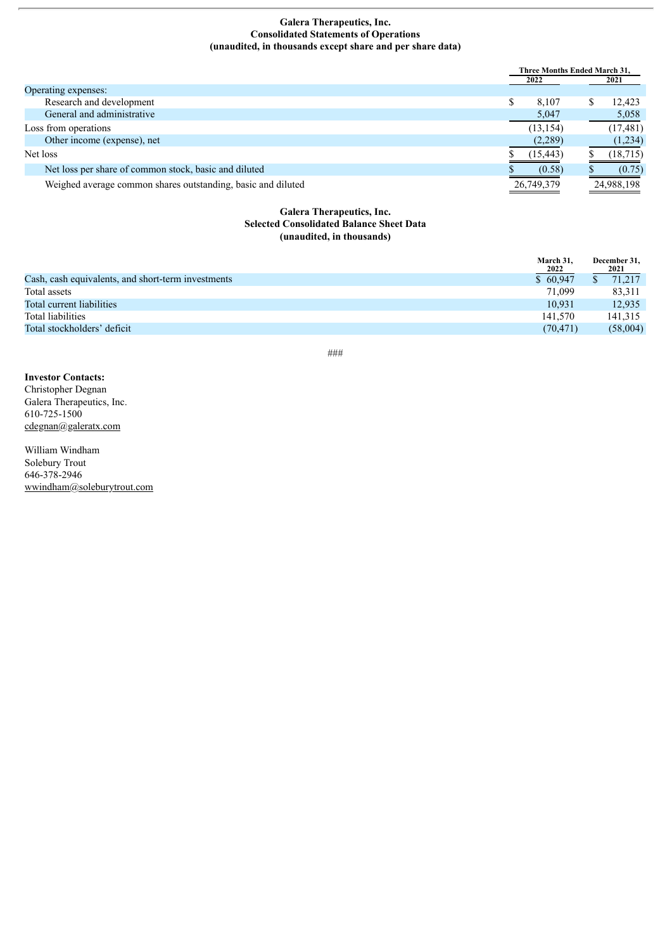#### **Galera Therapeutics, Inc. Consolidated Statements of Operations (unaudited, in thousands except share and per share data)**

|                                                              | Three Months Ended March 31, |   |            |
|--------------------------------------------------------------|------------------------------|---|------------|
|                                                              | 2022                         |   | 2021       |
| Operating expenses:                                          |                              |   |            |
| Research and development                                     | 8.107                        | S | 12,423     |
| General and administrative                                   | 5,047                        |   | 5,058      |
| Loss from operations                                         | (13, 154)                    |   | (17, 481)  |
| Other income (expense), net                                  | (2,289)                      |   | (1,234)    |
| Net loss                                                     | (15, 443)                    |   | (18,715)   |
| Net loss per share of common stock, basic and diluted        | (0.58)                       |   | (0.75)     |
| Weighed average common shares outstanding, basic and diluted | 26,749,379                   |   | 24,988,198 |

# **Galera Therapeutics, Inc. Selected Consolidated Balance Sheet Data (unaudited, in thousands)**

|                                                    | March 31,<br>2022 | December 31,<br>2021 |
|----------------------------------------------------|-------------------|----------------------|
| Cash, cash equivalents, and short-term investments | \$60.947          | 71.217               |
| Total assets                                       | 71.099            | 83,311               |
| Total current liabilities                          | 10.931            | 12,935               |
| Total liabilities                                  | 141.570           | 141.315              |
| Total stockholders' deficit                        | (70, 471)         | (58,004)             |

###

# **Investor Contacts:**

Christopher Degnan Galera Therapeutics, Inc. 610-725-1500 cdegnan@galeratx.com

William Windham Solebury Trout 646-378-2946 wwindham@soleburytrout.com